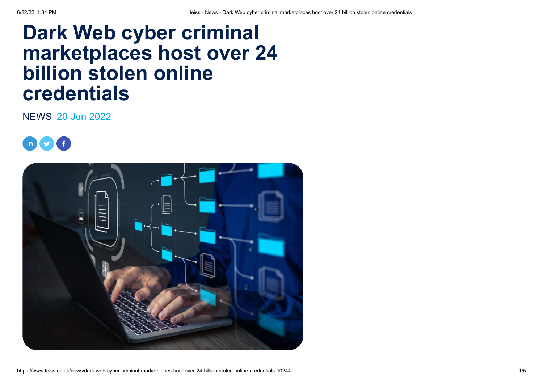## **Dark Web cyber criminal marketplaces host over 24 billion stolen online credentials**

[NEWS](https://www.teiss.co.uk/news/news) 20 Jun 2022



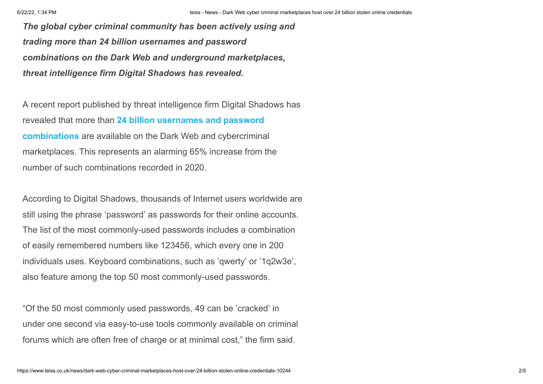*The global cyber criminal community has been actively using and trading more than 24 billion usernames and password combinations on the Dark Web and underground marketplaces, threat intelligence firm Digital Shadows has revealed.*

A recent report published by threat intelligence firm Digital Shadows has revealed that more than **24 billion usernames and password combinations** [are available on the Dark Web and cybercrimina](https://www.prnewswire.com/news-releases/24-billion-usernames-and-passwords-available-on-the-dark-web--an-increase-of-65-in-just-two-years-301568356.html)l marketplaces. This represents an alarming 65% increase from the number of such combinations recorded in 2020.

According to Digital Shadows, thousands of Internet users worldwide are still using the phrase 'password' as passwords for their online accounts. The list of the most commonly-used passwords includes a combination of easily remembered numbers like 123456, which every one in 200 individuals uses. Keyboard combinations, such as 'qwerty' or '1q2w3e', also feature among the top 50 most commonly-used passwords.

"Of the 50 most commonly used passwords, 49 can be 'cracked' in under one second via easy-to-use tools commonly available on criminal forums which are often free of charge or at minimal cost," the firm said.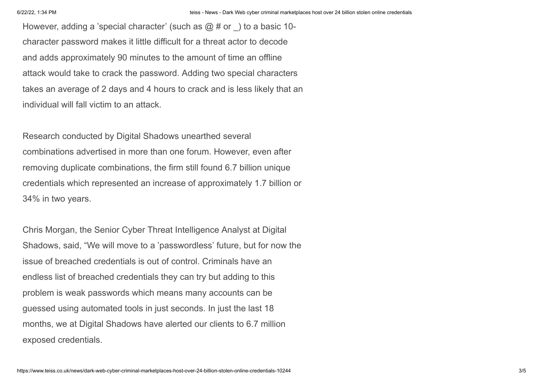However, adding a 'special character' (such as  $\omega \#$  or ) to a basic 10character password makes it little difficult for a threat actor to decode and adds approximately 90 minutes to the amount of time an offline attack would take to crack the password. Adding two special characters takes an average of 2 days and 4 hours to crack and is less likely that an individual will fall victim to an attack.

Research conducted by Digital Shadows unearthed several combinations advertised in more than one forum. However, even after removing duplicate combinations, the firm still found 6.7 billion unique credentials which represented an increase of approximately 1.7 billion or 34% in two years.

Chris Morgan, the Senior Cyber Threat Intelligence Analyst at Digital Shadows, said, "We will move to a 'passwordless' future, but for now the issue of breached credentials is out of control. Criminals have an endless list of breached credentials they can try but adding to this problem is weak passwords which means many accounts can be guessed using automated tools in just seconds. In just the last 18 months, we at Digital Shadows have alerted our clients to 6.7 million exposed credentials.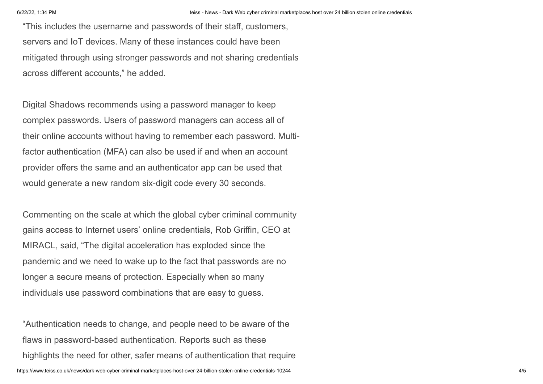"This includes the username and passwords of their staff, customers, servers and IoT devices. Many of these instances could have been mitigated through using stronger passwords and not sharing credentials across different accounts," he added.

Digital Shadows recommends using a password manager to keep complex passwords. Users of password managers can access all of their online accounts without having to remember each password. Multifactor authentication (MFA) can also be used if and when an account provider offers the same and an authenticator app can be used that would generate a new random six-digit code every 30 seconds.

Commenting on the scale at which the global cyber criminal community gains access to Internet users' online credentials, Rob Griffin, CEO at MIRACL, said, "The digital acceleration has exploded since the pandemic and we need to wake up to the fact that passwords are no longer a secure means of protection. Especially when so many individuals use password combinations that are easy to guess.

"Authentication needs to change, and people need to be aware of the flaws in password-based authentication. Reports such as these highlights the need for other, safer means of authentication that require